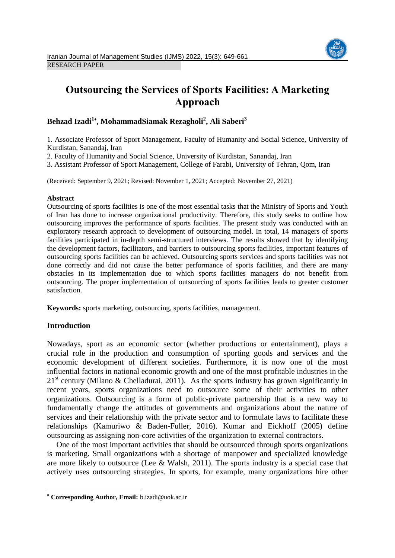

# **Outsourcing the Services of Sports Facilities: A Marketing Approach**

## **Behzad Izadi<sup>1</sup> , MohammadSiamak Rezagholi<sup>2</sup> , Ali Saberi<sup>3</sup>**

1. Associate Professor of Sport Management, Faculty of Humanity and Social Science, University of Kurdistan, Sanandaj, Iran

2. Faculty of Humanity and Social Science, University of Kurdistan, Sanandaj, Iran

3. Assistant Professor of Sport Management, College of Farabi, University of Tehran, Qom, Iran

(Received: September 9, 2021; Revised: November 1, 2021; Accepted: November 27, 2021)

#### **Abstract**

Outsourcing of sports facilities is one of the most essential tasks that the Ministry of Sports and Youth of Iran has done to increase organizational productivity. Therefore, this study seeks to outline how outsourcing improves the performance of sports facilities. The present study was conducted with an exploratory research approach to development of outsourcing model. In total, 14 managers of sports facilities participated in in-depth semi-structured interviews. The results showed that by identifying the development factors, facilitators, and barriers to outsourcing sports facilities, important features of outsourcing sports facilities can be achieved. Outsourcing sports services and sports facilities was not done correctly and did not cause the better performance of sports facilities, and there are many obstacles in its implementation due to which sports facilities managers do not benefit from outsourcing. The proper implementation of outsourcing of sports facilities leads to greater customer satisfaction.

**Keywords:** sports marketing, outsourcing, sports facilities, management.

## **Introduction**

Nowadays, sport as an economic sector (whether productions or entertainment), plays a crucial role in the production and consumption of sporting goods and services and the economic development of different societies. Furthermore, it is now one of the most influential factors in national economic growth and one of the most profitable industries in the  $21<sup>st</sup>$  century (Milano & Chelladurai, 2011). As the sports industry has grown significantly in recent years, sports organizations need to outsource some of their activities to other organizations. Outsourcing is a form of public-private partnership that is a new way to fundamentally change the attitudes of governments and organizations about the nature of services and their relationship with the private sector and to formulate laws to facilitate these relationships (Kamuriwo & Baden-Fuller, 2016). Kumar and Eickhoff (2005) define outsourcing as assigning non-core activities of the organization to external contractors.

One of the most important activities that should be outsourced through sports organizations is marketing. Small organizations with a shortage of manpower and specialized knowledge are more likely to outsource (Lee  $& Walsh, 2011$ ). The sports industry is a special case that actively uses outsourcing strategies. In sports, for example, many organizations hire other

**Corresponding Author, Email:** b.izadi@uok.ac.ir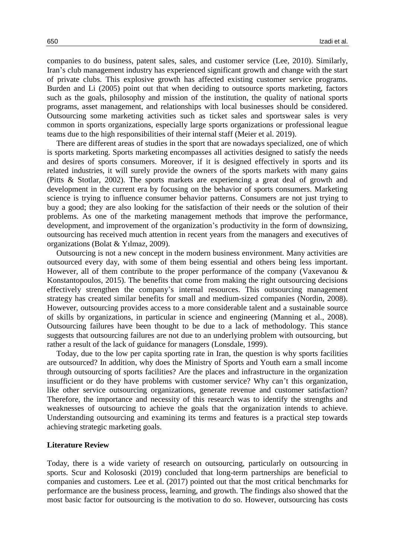companies to do business, patent sales, sales, and customer service (Lee, 2010). Similarly, Iran's club management industry has experienced significant growth and change with the start of private clubs. This explosive growth has affected existing customer service programs. Burden and Li (2005) point out that when deciding to outsource sports marketing, factors such as the goals, philosophy and mission of the institution, the quality of national sports programs, asset management, and relationships with local businesses should be considered. Outsourcing some marketing activities such as ticket sales and sportswear sales is very common in sports organizations, especially large sports organizations or professional league teams due to the high responsibilities of their internal staff (Meier et al. 2019).

There are different areas of studies in the sport that are nowadays specialized, one of which is sports marketing. Sports marketing encompasses all activities designed to satisfy the needs and desires of sports consumers. Moreover, if it is designed effectively in sports and its related industries, it will surely provide the owners of the sports markets with many gains (Pitts & Stotlar, 2002). The sports markets are experiencing a great deal of growth and development in the current era by focusing on the behavior of sports consumers. Marketing science is trying to influence consumer behavior patterns. Consumers are not just trying to buy a good; they are also looking for the satisfaction of their needs or the solution of their problems. As one of the marketing management methods that improve the performance, development, and improvement of the organization's productivity in the form of downsizing, outsourcing has received much attention in recent years from the managers and executives of organizations (Bolat & Yılmaz, 2009).

Outsourcing is not a new concept in the modern business environment. Many activities are outsourced every day, with some of them being essential and others being less important. However, all of them contribute to the proper performance of the company (Vaxevanou  $\&$ Konstantopoulos, 2015). The benefits that come from making the right outsourcing decisions effectively strengthen the company's internal resources. This outsourcing management strategy has created similar benefits for small and medium-sized companies (Nordin, 2008). However, outsourcing provides access to a more considerable talent and a sustainable source of skills by organizations, in particular in science and engineering (Manning et al., 2008). Outsourcing failures have been thought to be due to a lack of methodology. This stance suggests that outsourcing failures are not due to an underlying problem with outsourcing, but rather a result of the lack of guidance for managers (Lonsdale, 1999).

Today, due to the low per capita sporting rate in Iran, the question is why sports facilities are outsourced? In addition, why does the Ministry of Sports and Youth earn a small income through outsourcing of sports facilities? Are the places and infrastructure in the organization insufficient or do they have problems with customer service? Why can't this organization, like other service outsourcing organizations, generate revenue and customer satisfaction? Therefore, the importance and necessity of this research was to identify the strengths and weaknesses of outsourcing to achieve the goals that the organization intends to achieve. Understanding outsourcing and examining its terms and features is a practical step towards achieving strategic marketing goals.

#### **Literature Review**

Today, there is a wide variety of research on outsourcing, particularly on outsourcing in sports. Scur and Kolososki (2019) concluded that long-term partnerships are beneficial to companies and customers. Lee et al. (2017) pointed out that the most critical benchmarks for performance are the business process, learning, and growth. The findings also showed that the most basic factor for outsourcing is the motivation to do so. However, outsourcing has costs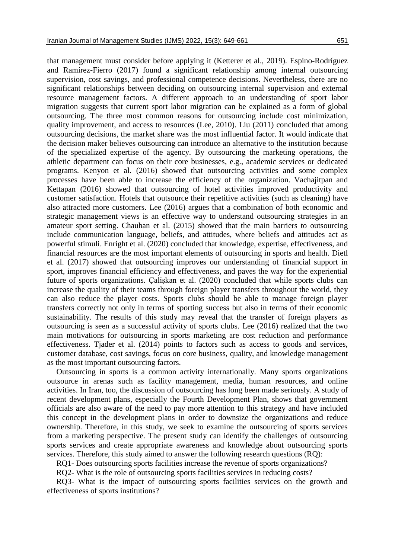that management must consider before applying it (Ketterer et al., 2019). Espino-Rodríguez and Ramírez-Fierro (2017) found a significant relationship among internal outsourcing supervision, cost savings, and professional competence decisions. Nevertheless, there are no significant relationships between deciding on outsourcing internal supervision and external resource management factors. A different approach to an understanding of sport labor migration suggests that current sport labor migration can be explained as a form of global outsourcing. The three most common reasons for outsourcing include cost minimization, quality improvement, and access to resources (Lee, 2010). Liu (2011) concluded that among outsourcing decisions, the market share was the most influential factor. It would indicate that the decision maker believes outsourcing can introduce an alternative to the institution because of the specialized expertise of the agency. By outsourcing the marketing operations, the athletic department can focus on their core businesses, e.g., academic services or dedicated programs. Kenyon et al. (2016) showed that outsourcing activities and some complex processes have been able to increase the efficiency of the organization. Vachajitpan and Kettapan (2016) showed that outsourcing of hotel activities improved productivity and customer satisfaction. Hotels that outsource their repetitive activities (such as cleaning) have also attracted more customers. Lee (2016) argues that a combination of both economic and strategic management views is an effective way to understand outsourcing strategies in an amateur sport setting. Chauhan et al. (2015) showed that the main barriers to outsourcing include communication language, beliefs, and attitudes, where beliefs and attitudes act as powerful stimuli. Enright et al. (2020) concluded that knowledge, expertise, effectiveness, and financial resources are the most important elements of outsourcing in sports and health. Dietl et al. (2017) showed that outsourcing improves our understanding of financial support in sport, improves financial efficiency and effectiveness, and paves the way for the experiential future of sports organizations. Çalişkan et al. (2020) concluded that while sports clubs can increase the quality of their teams through foreign player transfers throughout the world, they can also reduce the player costs. Sports clubs should be able to manage foreign player transfers correctly not only in terms of sporting success but also in terms of their economic sustainability. The results of this study may reveal that the transfer of foreign players as outsourcing is seen as a successful activity of sports clubs. Lee (2016) realized that the two main motivations for outsourcing in sports marketing are cost reduction and performance effectiveness. Tjader et al. (2014) points to factors such as access to goods and services, customer database, cost savings, focus on core business, quality, and knowledge management as the most important outsourcing factors.

Outsourcing in sports is a common activity internationally. Many sports organizations outsource in arenas such as facility management, media, human resources, and online activities. In Iran, too, the discussion of outsourcing has long been made seriously. A study of recent development plans, especially the Fourth Development Plan, shows that government officials are also aware of the need to pay more attention to this strategy and have included this concept in the development plans in order to downsize the organizations and reduce ownership. Therefore, in this study, we seek to examine the outsourcing of sports services from a marketing perspective. The present study can identify the challenges of outsourcing sports services and create appropriate awareness and knowledge about outsourcing sports services. Therefore, this study aimed to answer the following research questions (RQ):

RQ1- Does outsourcing sports facilities increase the revenue of sports organizations?

RQ2- What is the role of outsourcing sports facilities services in reducing costs?

RQ3- What is the impact of outsourcing sports facilities services on the growth and effectiveness of sports institutions?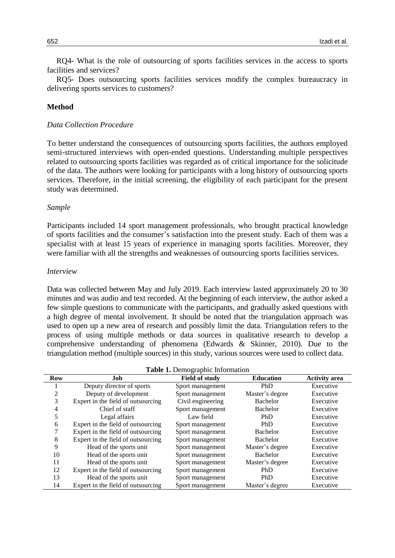RQ4- What is the role of outsourcing of sports facilities services in the access to sports facilities and services?

RQ5- Does outsourcing sports facilities services modify the complex bureaucracy in delivering sports services to customers?

## **Method**

#### *Data Collection Procedure*

To better understand the consequences of outsourcing sports facilities, the authors employed semi-structured interviews with open-ended questions. Understanding multiple perspectives related to outsourcing sports facilities was regarded as of critical importance for the solicitude of the data. The authors were looking for participants with a long history of outsourcing sports services. Therefore, in the initial screening, the eligibility of each participant for the present study was determined.

#### *Sample*

Participants included 14 sport management professionals, who brought practical knowledge of sports facilities and the consumer's satisfaction into the present study. Each of them was a specialist with at least 15 years of experience in managing sports facilities. Moreover, they were familiar with all the strengths and weaknesses of outsourcing sports facilities services.

## *Interview*

Data was collected between May and July 2019. Each interview lasted approximately 20 to 30 minutes and was audio and text recorded. At the beginning of each interview, the author asked a few simple questions to communicate with the participants, and gradually asked questions with a high degree of mental involvement. It should be noted that the triangulation approach was used to open up a new area of research and possibly limit the data. Triangulation refers to the process of using multiple methods or data sources in qualitative research to develop a comprehensive understanding of phenomena (Edwards & Skinner, 2010). Due to the triangulation method (multiple sources) in this study, various sources were used to collect data.

| <b>rapid 1.</b> Define applied information |                                    |                       |                  |                      |  |
|--------------------------------------------|------------------------------------|-----------------------|------------------|----------------------|--|
| <b>Row</b>                                 | Job                                | <b>Field of study</b> | <b>Education</b> | <b>Activity area</b> |  |
|                                            | Deputy director of sports          | Sport management      | PhD              | Executive            |  |
| 2                                          | Deputy of development              | Sport management      | Master's degree  | Executive            |  |
| 3                                          | Expert in the field of outsourcing | Civil engineering     | Bachelor         | Executive            |  |
| 4                                          | Chief of staff                     | Sport management      | Bachelor         | Executive            |  |
| 5                                          | Legal affairs                      | Law field             | PhD              | Executive            |  |
| 6                                          | Expert in the field of outsourcing | Sport management      | PhD              | Executive            |  |
|                                            | Expert in the field of outsourcing | Sport management      | Bachelor         | Executive            |  |
| 8                                          | Expert in the field of outsourcing | Sport management      | Bachelor         | Executive            |  |
| 9                                          | Head of the sports unit            | Sport management      | Master's degree  | Executive            |  |
| 10                                         | Head of the sports unit            | Sport management      | <b>Bachelor</b>  | Executive            |  |
| 11                                         | Head of the sports unit            | Sport management      | Master's degree  | Executive            |  |
| 12                                         | Expert in the field of outsourcing | Sport management      | PhD              | Executive            |  |
| 13                                         | Head of the sports unit            | Sport management      | PhD              | Executive            |  |
| 14                                         | Expert in the field of outsourcing | Sport management      | Master's degree  | Executive            |  |

**Table 1.** Demographic Information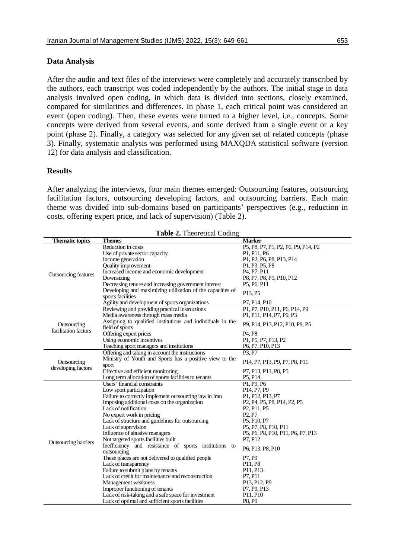## **Data Analysis**

After the audio and text files of the interviews were completely and accurately transcribed by the authors, each transcript was coded independently by the authors. The initial stage in data analysis involved open coding, in which data is divided into sections, closely examined, compared for similarities and differences. In phase 1, each critical point was considered an event (open coding). Then, these events were turned to a higher level, i.e., concepts. Some concepts were derived from several events, and some derived from a single event or a key point (phase 2). Finally, a category was selected for any given set of related concepts (phase 3). Finally, systematic analysis was performed using MAXQDA statistical software (version 12) for data analysis and classification.

## **Results**

After analyzing the interviews, four main themes emerged: Outsourcing features, outsourcing facilitation factors, outsourcing developing factors, and outsourcing barriers. Each main theme was divided into sub-domains based on participants' perspectives (e.g., reduction in costs, offering expert price, and lack of supervision) (Table 2).

| <b>Table 2.</b> Theoretical County  |                                                            |                                                                                                                         |  |  |  |
|-------------------------------------|------------------------------------------------------------|-------------------------------------------------------------------------------------------------------------------------|--|--|--|
| <b>Thematic topics</b>              | <b>Themes</b>                                              | <b>Marker</b>                                                                                                           |  |  |  |
|                                     | Reduction in costs                                         | P5, P8, P7, P1, P2, P6, P9, P14, P2                                                                                     |  |  |  |
|                                     | Use of private sector capacity                             | P1, P11, P6                                                                                                             |  |  |  |
|                                     | Income generation                                          | P1, P2, P6, P8, P13, P14                                                                                                |  |  |  |
|                                     | <b>Quality improvement</b>                                 | P1, P3, P5, P8                                                                                                          |  |  |  |
|                                     | Increased income and economic development                  | P <sub>4</sub> , P <sub>7</sub> , P <sub>11</sub>                                                                       |  |  |  |
| <b>Outsourcing features</b>         | Downsizing                                                 | P8, P7, P8, P9, P10, P12                                                                                                |  |  |  |
|                                     | Decreasing tenure and increasing government interest       | P5, P6, P11                                                                                                             |  |  |  |
|                                     | Developing and maximizing utilization of the capacities of | P13, P5                                                                                                                 |  |  |  |
|                                     | sports facilities                                          |                                                                                                                         |  |  |  |
|                                     | Agility and development of sports organizations            | P7, P14, P10                                                                                                            |  |  |  |
|                                     | Reviewing and providing practical instructions             | P1, P7, P10, P11, P6, P14, P9                                                                                           |  |  |  |
|                                     | Media awareness through mass media                         | P1, P11, P14, P7, P9, P3                                                                                                |  |  |  |
|                                     | Assigning to qualified institutions and individuals in the |                                                                                                                         |  |  |  |
| Outsourcing<br>facilitation factors | field of sports                                            | P9, P14, P13, P12, P10, P9, P5                                                                                          |  |  |  |
|                                     | Offering expert prices                                     | P <sub>4</sub> . P <sub>8</sub>                                                                                         |  |  |  |
|                                     | Using economic incentives                                  | P1, P5, P7, P13, P2                                                                                                     |  |  |  |
|                                     | Teaching sport managers and institutions                   | P <sub>6</sub> , P <sub>7</sub> , P <sub>10</sub> , P <sub>13</sub>                                                     |  |  |  |
|                                     | Offering and taking in account the instructions            | P3.P7                                                                                                                   |  |  |  |
|                                     | Ministry of Youth and Sports has a positive view to the    |                                                                                                                         |  |  |  |
| Outsourcing                         | sport                                                      | P <sub>14</sub> , P <sub>7</sub> , P <sub>13</sub> , P <sub>9</sub> , P <sub>7</sub> , P <sub>8</sub> , P <sub>11</sub> |  |  |  |
| developing factors                  | Effective and efficient monitoring                         | P7, P13, P11, P8, P5                                                                                                    |  |  |  |
|                                     | Long term allocation of sports facilities to tenants       | P <sub>5</sub> , P <sub>14</sub>                                                                                        |  |  |  |
|                                     | Users' financial constraints                               | P1, P9, P6                                                                                                              |  |  |  |
|                                     | Low sport participation                                    | P <sub>14</sub> , P <sub>7</sub> , P <sub>9</sub>                                                                       |  |  |  |
|                                     | Failure to correctly implement outsourcing law in Iran     | P1, P12, P13, P7                                                                                                        |  |  |  |
|                                     | Imposing additional costs on the organization              | P <sub>2</sub> , P <sub>4</sub> , P <sub>5</sub> , P <sub>8</sub> , P <sub>14</sub> , P <sub>2</sub> , P <sub>5</sub>   |  |  |  |
|                                     | Lack of notification                                       | P <sub>2</sub> , P <sub>11</sub> , P <sub>5</sub>                                                                       |  |  |  |
|                                     | No expert work in pricing                                  | P <sub>2</sub> , P <sub>7</sub>                                                                                         |  |  |  |
|                                     | Lack of structure and guidelines for outsourcing           | P5, P10, P7                                                                                                             |  |  |  |
|                                     | Lack of supervision                                        | P5, P7, P8, P10, P11                                                                                                    |  |  |  |
|                                     | Influence of abusive managers                              | P5, P6, P8, P10, P11, P6, P7, P13                                                                                       |  |  |  |
|                                     | Not targeted sports facilities built                       | P7, P12                                                                                                                 |  |  |  |
| <b>Outsourcing barriers</b>         | Inefficiency and resistance of sports institutions to      |                                                                                                                         |  |  |  |
|                                     | outsourcing                                                | P6, P13, P8, P10                                                                                                        |  |  |  |
|                                     | These places are not delivered to qualified people         | P7, P9                                                                                                                  |  |  |  |
|                                     | Lack of transparency                                       | P11, P8                                                                                                                 |  |  |  |
|                                     | Failure to submit plans by tenants                         | P11, P13                                                                                                                |  |  |  |
|                                     | Lack of credit for maintenance and reconstruction          | P7, P11                                                                                                                 |  |  |  |
|                                     | Management weakness                                        | P13, P12, P9                                                                                                            |  |  |  |
|                                     |                                                            | P7, P9, P13                                                                                                             |  |  |  |
|                                     | Improper functioning of tenants                            |                                                                                                                         |  |  |  |
|                                     | Lack of risk-taking and a safe space for investment        | P11, P10                                                                                                                |  |  |  |
|                                     | Lack of optimal and sufficient sports facilities           | P8, P9                                                                                                                  |  |  |  |

**Table 2.** Theoretical Coding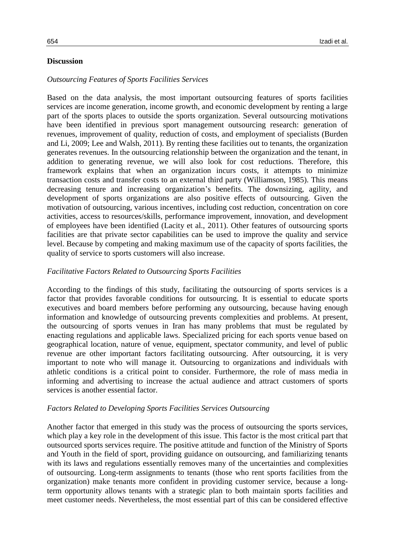## **Discussion**

## *Outsourcing Features of Sports Facilities Services*

Based on the data analysis, the most important outsourcing features of sports facilities services are income generation, income growth, and economic development by renting a large part of the sports places to outside the sports organization. Several outsourcing motivations have been identified in previous sport management outsourcing research: generation of revenues, improvement of quality, reduction of costs, and employment of specialists (Burden and Li, 2009; Lee and Walsh, 2011). By renting these facilities out to tenants, the organization generates revenues. In the outsourcing relationship between the organization and the tenant, in addition to generating revenue, we will also look for cost reductions. Therefore, this framework explains that when an organization incurs costs, it attempts to minimize transaction costs and transfer costs to an external third party (Williamson, 1985). This means decreasing tenure and increasing organization's benefits. The downsizing, agility, and development of sports organizations are also positive effects of outsourcing. Given the motivation of outsourcing, various incentives, including cost reduction, concentration on core activities, access to resources/skills, performance improvement, innovation, and development of employees have been identified (Lacity et al., 2011). Other features of outsourcing sports facilities are that private sector capabilities can be used to improve the quality and service level. Because by competing and making maximum use of the capacity of sports facilities, the quality of service to sports customers will also increase.

## *Facilitative Factors Related to Outsourcing Sports Facilities*

According to the findings of this study, facilitating the outsourcing of sports services is a factor that provides favorable conditions for outsourcing. It is essential to educate sports executives and board members before performing any outsourcing, because having enough information and knowledge of outsourcing prevents complexities and problems. At present, the outsourcing of sports venues in Iran has many problems that must be regulated by enacting regulations and applicable laws. Specialized pricing for each sports venue based on geographical location, nature of venue, equipment, spectator community, and level of public revenue are other important factors facilitating outsourcing. After outsourcing, it is very important to note who will manage it. Outsourcing to organizations and individuals with athletic conditions is a critical point to consider. Furthermore, the role of mass media in informing and advertising to increase the actual audience and attract customers of sports services is another essential factor.

#### *Factors Related to Developing Sports Facilities Services Outsourcing*

Another factor that emerged in this study was the process of outsourcing the sports services, which play a key role in the development of this issue. This factor is the most critical part that outsourced sports services require. The positive attitude and function of the Ministry of Sports and Youth in the field of sport, providing guidance on outsourcing, and familiarizing tenants with its laws and regulations essentially removes many of the uncertainties and complexities of outsourcing. Long-term assignments to tenants (those who rent sports facilities from the organization) make tenants more confident in providing customer service, because a longterm opportunity allows tenants with a strategic plan to both maintain sports facilities and meet customer needs. Nevertheless, the most essential part of this can be considered effective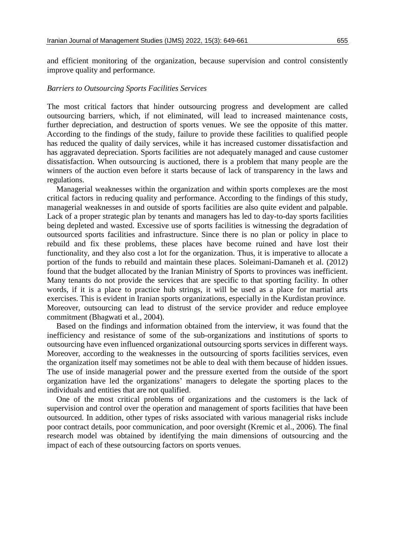and efficient monitoring of the organization, because supervision and control consistently improve quality and performance.

#### *Barriers to Outsourcing Sports Facilities Services*

The most critical factors that hinder outsourcing progress and development are called outsourcing barriers, which, if not eliminated, will lead to increased maintenance costs, further depreciation, and destruction of sports venues. We see the opposite of this matter. According to the findings of the study, failure to provide these facilities to qualified people has reduced the quality of daily services, while it has increased customer dissatisfaction and has aggravated depreciation. Sports facilities are not adequately managed and cause customer dissatisfaction. When outsourcing is auctioned, there is a problem that many people are the winners of the auction even before it starts because of lack of transparency in the laws and regulations.

Managerial weaknesses within the organization and within sports complexes are the most critical factors in reducing quality and performance. According to the findings of this study, managerial weaknesses in and outside of sports facilities are also quite evident and palpable. Lack of a proper strategic plan by tenants and managers has led to day-to-day sports facilities being depleted and wasted. Excessive use of sports facilities is witnessing the degradation of outsourced sports facilities and infrastructure. Since there is no plan or policy in place to rebuild and fix these problems, these places have become ruined and have lost their functionality, and they also cost a lot for the organization. Thus, it is imperative to allocate a portion of the funds to rebuild and maintain these places. Soleimani-Damaneh et al. (2012) found that the budget allocated by the Iranian Ministry of Sports to provinces was inefficient. Many tenants do not provide the services that are specific to that sporting facility. In other words, if it is a place to practice hub strings, it will be used as a place for martial arts exercises. This is evident in Iranian sports organizations, especially in the Kurdistan province. Moreover, outsourcing can lead to distrust of the service provider and reduce employee commitment (Bhagwati et al., 2004).

Based on the findings and information obtained from the interview, it was found that the inefficiency and resistance of some of the sub-organizations and institutions of sports to outsourcing have even influenced organizational outsourcing sports services in different ways. Moreover, according to the weaknesses in the outsourcing of sports facilities services, even the organization itself may sometimes not be able to deal with them because of hidden issues. The use of inside managerial power and the pressure exerted from the outside of the sport organization have led the organizations' managers to delegate the sporting places to the individuals and entities that are not qualified.

One of the most critical problems of organizations and the customers is the lack of supervision and control over the operation and management of sports facilities that have been outsourced. In addition, other types of risks associated with various managerial risks include poor contract details, poor communication, and poor oversight (Kremic et al., 2006). The final research model was obtained by identifying the main dimensions of outsourcing and the impact of each of these outsourcing factors on sports venues.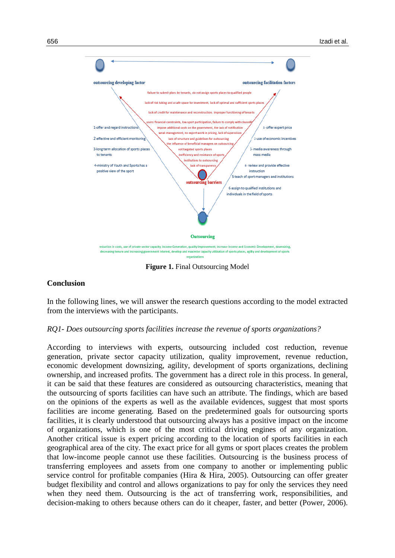

**Figure 1.** Final Outsourcing Model

## **Conclusion**

In the following lines, we will answer the research questions according to the model extracted from the interviews with the participants.

#### *RQ1- Does outsourcing sports facilities increase the revenue of sports organizations?*

According to interviews with experts, outsourcing included cost reduction, revenue generation, private sector capacity utilization, quality improvement, revenue reduction, economic development downsizing, agility, development of sports organizations, declining ownership, and increased profits. The government has a direct role in this process. In general, it can be said that these features are considered as outsourcing characteristics, meaning that the outsourcing of sports facilities can have such an attribute. The findings, which are based on the opinions of the experts as well as the available evidences, suggest that most sports facilities are income generating. Based on the predetermined goals for outsourcing sports facilities, it is clearly understood that outsourcing always has a positive impact on the income of organizations, which is one of the most critical driving engines of any organization. Another critical issue is expert pricing according to the location of sports facilities in each geographical area of the city. The exact price for all gyms or sport places creates the problem that low-income people cannot use these facilities. Outsourcing is the business process of transferring employees and assets from one company to another or implementing public service control for profitable companies (Hira & Hira, 2005). Outsourcing can offer greater budget flexibility and control and allows organizations to pay for only the services they need when they need them. Outsourcing is the act of transferring work, responsibilities, and decision-making to others because others can do it cheaper, faster, and better (Power, 2006).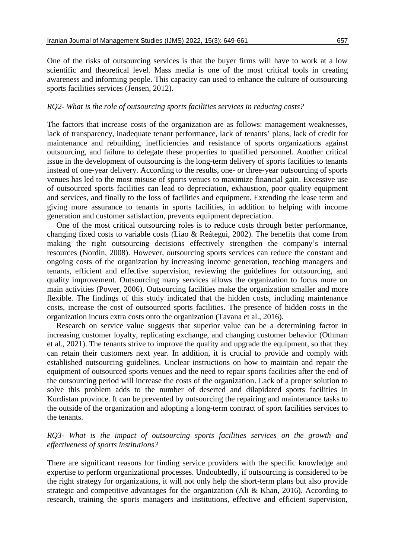One of the risks of outsourcing services is that the buyer firms will have to work at a low scientific and theoretical level. Mass media is one of the most critical tools in creating awareness and informing people. This capacity can used to enhance the culture of outsourcing sports facilities services (Jensen, 2012).

## *RQ2- What is the role of outsourcing sports facilities services in reducing costs?*

The factors that increase costs of the organization are as follows: management weaknesses, lack of transparency, inadequate tenant performance, lack of tenants' plans, lack of credit for maintenance and rebuilding, inefficiencies and resistance of sports organizations against outsourcing, and failure to delegate these properties to qualified personnel. Another critical issue in the development of outsourcing is the long-term delivery of sports facilities to tenants instead of one-year delivery. According to the results, one- or three-year outsourcing of sports venues has led to the most misuse of sports venues to maximize financial gain. Excessive use of outsourced sports facilities can lead to depreciation, exhaustion, poor quality equipment and services, and finally to the loss of facilities and equipment. Extending the lease term and giving more assurance to tenants in sports facilities, in addition to helping with income generation and customer satisfaction, prevents equipment depreciation.

One of the most critical outsourcing roles is to reduce costs through better performance, changing fixed costs to variable costs (Liao & Reátegui, 2002). The benefits that come from making the right outsourcing decisions effectively strengthen the company's internal resources (Nordin, 2008). However, outsourcing sports services can reduce the constant and ongoing costs of the organization by increasing income generation, teaching managers and tenants, efficient and effective supervision, reviewing the guidelines for outsourcing, and quality improvement. Outsourcing many services allows the organization to focus more on main activities (Power, 2006). Outsourcing facilities make the organization smaller and more flexible. The findings of this study indicated that the hidden costs, including maintenance costs, increase the cost of outsourced sports facilities. The presence of hidden costs in the organization incurs extra costs onto the organization (Tavana et al., 2016).

Research on service value suggests that superior value can be a determining factor in increasing customer loyalty, replicating exchange, and changing customer behavior (Othman et al., 2021). The tenants strive to improve the quality and upgrade the equipment, so that they can retain their customers next year. In addition, it is crucial to provide and comply with established outsourcing guidelines. Unclear instructions on how to maintain and repair the equipment of outsourced sports venues and the need to repair sports facilities after the end of the outsourcing period will increase the costs of the organization. Lack of a proper solution to solve this problem adds to the number of deserted and dilapidated sports facilities in Kurdistan province. It can be prevented by outsourcing the repairing and maintenance tasks to the outside of the organization and adopting a long-term contract of sport facilities services to the tenants.

## *RQ3- What is the impact of outsourcing sports facilities services on the growth and effectiveness of sports institutions?*

There are significant reasons for finding service providers with the specific knowledge and expertise to perform organizational processes. Undoubtedly, if outsourcing is considered to be the right strategy for organizations, it will not only help the short-term plans but also provide strategic and competitive advantages for the organization (Ali & Khan, 2016). According to research, training the sports managers and institutions, effective and efficient supervision,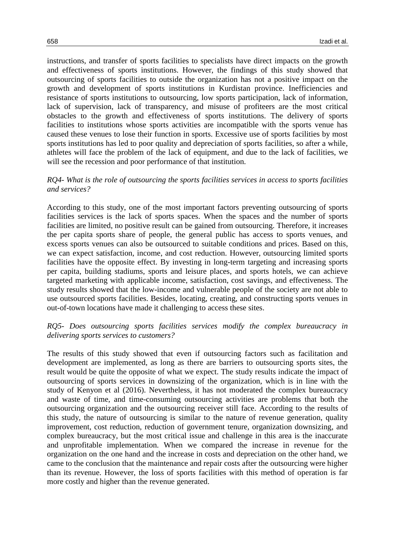instructions, and transfer of sports facilities to specialists have direct impacts on the growth and effectiveness of sports institutions. However, the findings of this study showed that outsourcing of sports facilities to outside the organization has not a positive impact on the growth and development of sports institutions in Kurdistan province. Inefficiencies and resistance of sports institutions to outsourcing, low sports participation, lack of information, lack of supervision, lack of transparency, and misuse of profiteers are the most critical obstacles to the growth and effectiveness of sports institutions. The delivery of sports facilities to institutions whose sports activities are incompatible with the sports venue has caused these venues to lose their function in sports. Excessive use of sports facilities by most sports institutions has led to poor quality and depreciation of sports facilities, so after a while, athletes will face the problem of the lack of equipment, and due to the lack of facilities, we will see the recession and poor performance of that institution.

## *RQ4- What is the role of outsourcing the sports facilities services in access to sports facilities and services?*

According to this study, one of the most important factors preventing outsourcing of sports facilities services is the lack of sports spaces. When the spaces and the number of sports facilities are limited, no positive result can be gained from outsourcing. Therefore, it increases the per capita sports share of people, the general public has access to sports venues, and excess sports venues can also be outsourced to suitable conditions and prices. Based on this, we can expect satisfaction, income, and cost reduction. However, outsourcing limited sports facilities have the opposite effect. By investing in long-term targeting and increasing sports per capita, building stadiums, sports and leisure places, and sports hotels, we can achieve targeted marketing with applicable income, satisfaction, cost savings, and effectiveness. The study results showed that the low-income and vulnerable people of the society are not able to use outsourced sports facilities. Besides, locating, creating, and constructing sports venues in out-of-town locations have made it challenging to access these sites.

## *RQ5- Does outsourcing sports facilities services modify the complex bureaucracy in delivering sports services to customers?*

The results of this study showed that even if outsourcing factors such as facilitation and development are implemented, as long as there are barriers to outsourcing sports sites, the result would be quite the opposite of what we expect. The study results indicate the impact of outsourcing of sports services in downsizing of the organization, which is in line with the study of Kenyon et al (2016). Nevertheless, it has not moderated the complex bureaucracy and waste of time, and time-consuming outsourcing activities are problems that both the outsourcing organization and the outsourcing receiver still face. According to the results of this study, the nature of outsourcing is similar to the nature of revenue generation, quality improvement, cost reduction, reduction of government tenure, organization downsizing, and complex bureaucracy, but the most critical issue and challenge in this area is the inaccurate and unprofitable implementation. When we compared the increase in revenue for the organization on the one hand and the increase in costs and depreciation on the other hand, we came to the conclusion that the maintenance and repair costs after the outsourcing were higher than its revenue. However, the loss of sports facilities with this method of operation is far more costly and higher than the revenue generated.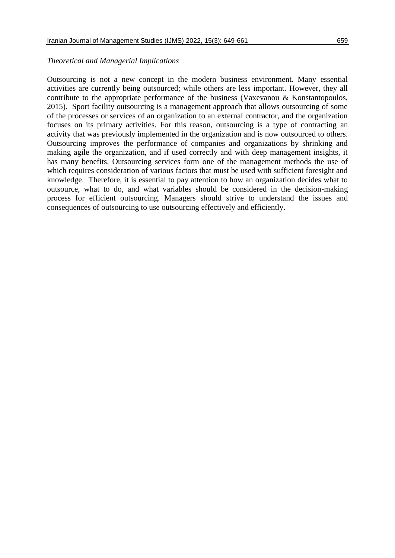#### *Theoretical and Managerial Implications*

Outsourcing is not a new concept in the modern business environment. Many essential activities are currently being outsourced; while others are less important. However, they all contribute to the appropriate performance of the business (Vaxevanou & Konstantopoulos, 2015). Sport facility outsourcing is a management approach that allows outsourcing of some of the processes or services of an organization to an external contractor, and the organization focuses on its primary activities. For this reason, outsourcing is a type of contracting an activity that was previously implemented in the organization and is now outsourced to others. Outsourcing improves the performance of companies and organizations by shrinking and making agile the organization, and if used correctly and with deep management insights, it has many benefits. Outsourcing services form one of the management methods the use of which requires consideration of various factors that must be used with sufficient foresight and knowledge. Therefore, it is essential to pay attention to how an organization decides what to outsource, what to do, and what variables should be considered in the decision-making process for efficient outsourcing. Managers should strive to understand the issues and consequences of outsourcing to use outsourcing effectively and efficiently.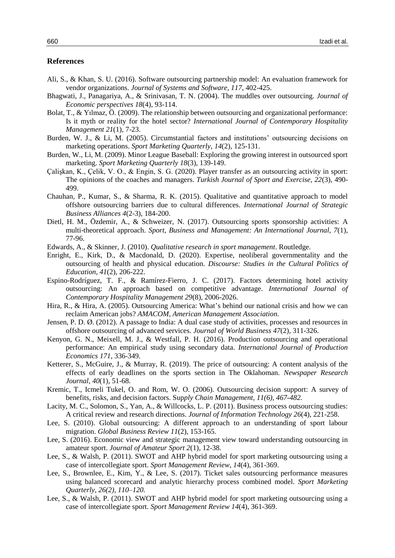#### **References**

- Ali, S., & Khan, S. U. (2016). Software outsourcing partnership model: An evaluation framework for vendor organizations. *Journal of Systems and Software, 117*, 402-425.
- Bhagwati, J., Panagariya, A., & Srinivasan, T. N. (2004). The muddles over outsourcing. *Journal of Economic perspectives 18*(4), 93-114.
- Bolat, T., & Yılmaz, Ö. (2009). The relationship between outsourcing and organizational performance: Is it myth or reality for the hotel sector? *International Journal of Contemporary Hospitality Management 21*(1), 7-23.
- Burden, W. J., & Li, M. (2005). Circumstantial factors and institutions' outsourcing decisions on marketing operations. *Sport Marketing Quarterly*, *14*(2), 125-131.
- Burden, W., Li, M. (2009). Minor League Baseball: Exploring the growing interest in outsourced sport marketing. *Sport Marketing Quarterly 18*(3), 139-149.
- Çalişkan, K., Çelik, V. O., & Engin, S. G. (2020). Player transfer as an outsourcing activity in sport: The opinions of the coaches and managers. *Turkish Journal of Sport and Exercise, 22*(3), 490- 499.
- Chauhan, P., Kumar, S., & Sharma, R. K. (2015). Qualitative and quantitative approach to model offshore outsourcing barriers due to cultural differences. *International Journal of Strategic Business Alliances 4*(2-3), 184-200.
- Dietl, H. M., Özdemir, A., & Schweizer, N. (2017). Outsourcing sports sponsorship activities: A multi-theoretical approach. *Sport, Business and Management: An International Journal, 7*(1), 77-96.
- Edwards, A., & Skinner, J. (2010). *Qualitative research in sport management*. Routledge.
- Enright, E., Kirk, D., & Macdonald, D. (2020). Expertise, neoliberal governmentality and the outsourcing of health and physical education. *Discourse: Studies in the Cultural Politics of Education, 41*(2), 206-222.
- Espino-Rodríguez, T. F., & Ramírez-Fierro, J. C. (2017). Factors determining hotel activity outsourcing: An approach based on competitive advantage. *International Journal of Contemporary Hospitality Management 29*(8), 2006-2026.
- Hira, R., & Hira, A. (2005). Outsourcing America: What's behind our national crisis and how we can reclaim American jobs? *AMACOM, American Management Association.*
- Jensen, P. D. Ø. (2012). A passage to India: A dual case study of activities, processes and resources in offshore outsourcing of advanced services. *Journal of World Business 47*(2), 311-326.
- Kenyon, G. N., Meixell, M. J., & Westfall, P. H. (2016). Production outsourcing and operational performance: An empirical study using secondary data. *International Journal of Production Economics 171*, 336-349.
- Ketterer, S., McGuire, J., & Murray, R. (2019). The price of outsourcing: A content analysis of the effects of early deadlines on the sports section in The Oklahoman. *Newspaper Research Journal, 40*(1), 51-68.
- Kremic, T., Icmeli Tukel, O. and Rom, W. O. (2006). Outsourcing decision support: A survey of benefits, risks, and decision factors. Sup*ply Chain Management, 11(6), 467-482.*
- Lacity, M. C., Solomon, S., Yan, A., & Willcocks, L. P. (2011). Business process outsourcing studies: A critical review and research directions. *Journal of Information Technology 26*(4), 221-258.
- Lee, S. (2010). Global outsourcing: A different approach to an understanding of sport labour migration. *Global Business Review 11*(2), 153-165.
- Lee, S. (2016). Economic view and strategic management view toward understanding outsourcing in amateur sport. *Journal of Amateur Sport 2*(1), 12-38.
- Lee, S., & Walsh, P. (2011). SWOT and AHP hybrid model for sport marketing outsourcing using a case of intercollegiate sport. *Sport Management Review*, *14*(4), 361-369.
- Lee, S., Brownlee, E., Kim, Y., & Lee, S. (2017). Ticket sales outsourcing performance measures using balanced scorecard and analytic hierarchy process combined model. *Sport Marketing Quarterly, 26(2), 110–120.*
- Lee, S., & Walsh, P. (2011). SWOT and AHP hybrid model for sport marketing outsourcing using a case of intercollegiate sport. *Sport Management Review 14*(4), 361-369.